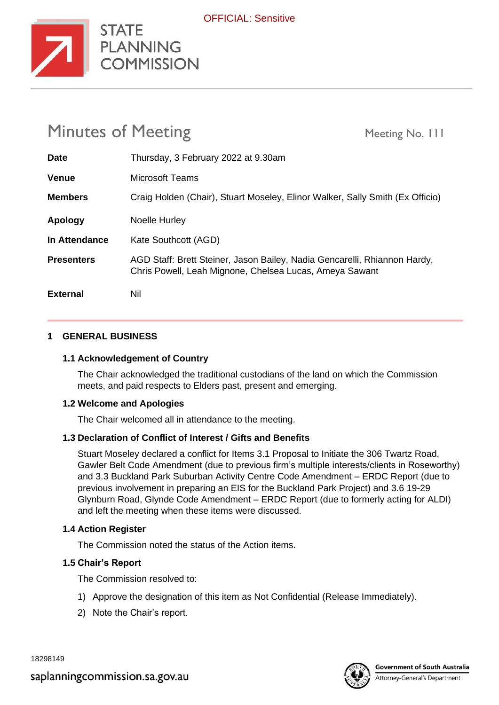

| <b>Minutes of Meeting</b> |                                                                                                                                      | Meeting No. 111 |
|---------------------------|--------------------------------------------------------------------------------------------------------------------------------------|-----------------|
| <b>Date</b>               | Thursday, 3 February 2022 at 9.30am                                                                                                  |                 |
| <b>Venue</b>              | Microsoft Teams                                                                                                                      |                 |
| <b>Members</b>            | Craig Holden (Chair), Stuart Moseley, Elinor Walker, Sally Smith (Ex Officio)                                                        |                 |
| Apology                   | Noelle Hurley                                                                                                                        |                 |
| In Attendance             | Kate Southcott (AGD)                                                                                                                 |                 |
| <b>Presenters</b>         | AGD Staff: Brett Steiner, Jason Bailey, Nadia Gencarelli, Rhiannon Hardy,<br>Chris Powell, Leah Mignone, Chelsea Lucas, Ameya Sawant |                 |
| <b>External</b>           | Nil                                                                                                                                  |                 |

#### **1 GENERAL BUSINESS**

#### **1.1 Acknowledgement of Country**

**STATE** 

**COMMISSION** 

The Chair acknowledged the traditional custodians of the land on which the Commission meets, and paid respects to Elders past, present and emerging.

#### **1.2 Welcome and Apologies**

The Chair welcomed all in attendance to the meeting.

#### **1.3 Declaration of Conflict of Interest / Gifts and Benefits**

Stuart Moseley declared a conflict for Items 3.1 Proposal to Initiate the 306 Twartz Road, Gawler Belt Code Amendment (due to previous firm's multiple interests/clients in Roseworthy) and 3.3 Buckland Park Suburban Activity Centre Code Amendment – ERDC Report (due to previous involvement in preparing an EIS for the Buckland Park Project) and 3.6 19-29 Glynburn Road, Glynde Code Amendment – ERDC Report (due to formerly acting for ALDI) and left the meeting when these items were discussed.

#### **1.4 Action Register**

The Commission noted the status of the Action items.

#### **1.5 Chair's Report**

The Commission resolved to:

- 1) Approve the designation of this item as Not Confidential (Release Immediately).
- 2) Note the Chair's report.

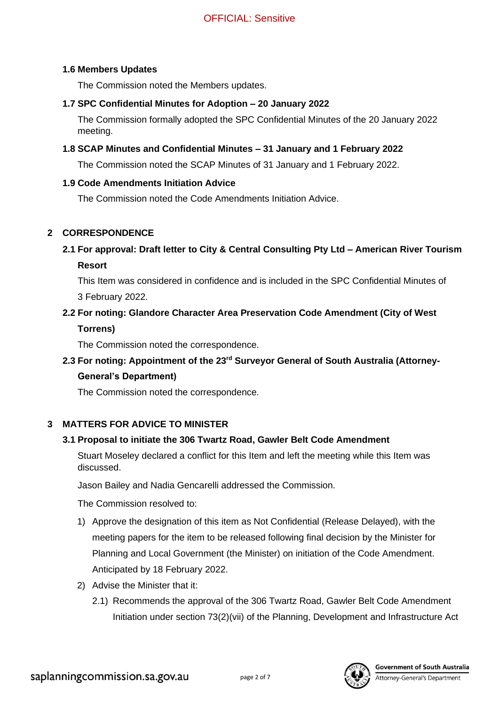#### **1.6 Members Updates**

The Commission noted the Members updates.

# **1.7 SPC Confidential Minutes for Adoption – 20 January 2022**

The Commission formally adopted the SPC Confidential Minutes of the 20 January 2022 meeting.

# **1.8 SCAP Minutes and Confidential Minutes – 31 January and 1 February 2022**

The Commission noted the SCAP Minutes of 31 January and 1 February 2022.

#### **1.9 Code Amendments Initiation Advice**

The Commission noted the Code Amendments Initiation Advice.

# **2 CORRESPONDENCE**

**2.1 For approval: Draft letter to City & Central Consulting Pty Ltd – American River Tourism Resort**

This Item was considered in confidence and is included in the SPC Confidential Minutes of 3 February 2022.

# **2.2 For noting: Glandore Character Area Preservation Code Amendment (City of West Torrens)**

The Commission noted the correspondence.

# **2.3 For noting: Appointment of the 23rd Surveyor General of South Australia (Attorney-**

# **General's Department)**

The Commission noted the correspondence.

# **3 MATTERS FOR ADVICE TO MINISTER**

# **3.1 Proposal to initiate the 306 Twartz Road, Gawler Belt Code Amendment**

Stuart Moseley declared a conflict for this Item and left the meeting while this Item was discussed.

Jason Bailey and Nadia Gencarelli addressed the Commission.

The Commission resolved to:

- 1) Approve the designation of this item as Not Confidential (Release Delayed), with the meeting papers for the item to be released following final decision by the Minister for Planning and Local Government (the Minister) on initiation of the Code Amendment. Anticipated by 18 February 2022.
- 2) Advise the Minister that it:
	- 2.1) Recommends the approval of the 306 Twartz Road, Gawler Belt Code Amendment Initiation under section 73(2)(vii) of the Planning, Development and Infrastructure Act

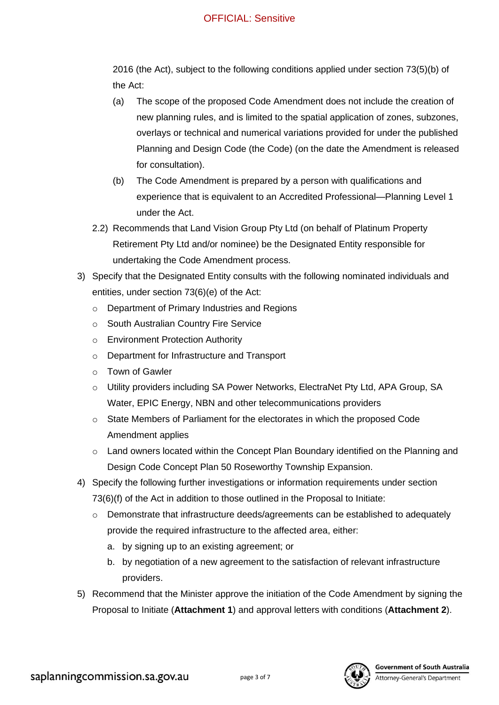# OFFICIAL: Sensitive

2016 (the Act), subject to the following conditions applied under section 73(5)(b) of the Act:

- (a) The scope of the proposed Code Amendment does not include the creation of new planning rules, and is limited to the spatial application of zones, subzones, overlays or technical and numerical variations provided for under the published Planning and Design Code (the Code) (on the date the Amendment is released for consultation).
- (b) The Code Amendment is prepared by a person with qualifications and experience that is equivalent to an Accredited Professional—Planning Level 1 under the Act.
- 2.2) Recommends that Land Vision Group Pty Ltd (on behalf of Platinum Property Retirement Pty Ltd and/or nominee) be the Designated Entity responsible for undertaking the Code Amendment process.
- 3) Specify that the Designated Entity consults with the following nominated individuals and entities, under section 73(6)(e) of the Act:
	- o Department of Primary Industries and Regions
	- o South Australian Country Fire Service
	- o Environment Protection Authority
	- o Department for Infrastructure and Transport
	- o Town of Gawler
	- o Utility providers including SA Power Networks, ElectraNet Pty Ltd, APA Group, SA Water, EPIC Energy, NBN and other telecommunications providers
	- o State Members of Parliament for the electorates in which the proposed Code Amendment applies
	- $\circ$  Land owners located within the Concept Plan Boundary identified on the Planning and Design Code Concept Plan 50 Roseworthy Township Expansion.
- 4) Specify the following further investigations or information requirements under section 73(6)(f) of the Act in addition to those outlined in the Proposal to Initiate:
	- o Demonstrate that infrastructure deeds/agreements can be established to adequately provide the required infrastructure to the affected area, either:
		- a. by signing up to an existing agreement; or
		- b. by negotiation of a new agreement to the satisfaction of relevant infrastructure providers.
- 5) Recommend that the Minister approve the initiation of the Code Amendment by signing the Proposal to Initiate (**Attachment 1**) and approval letters with conditions (**Attachment 2**).

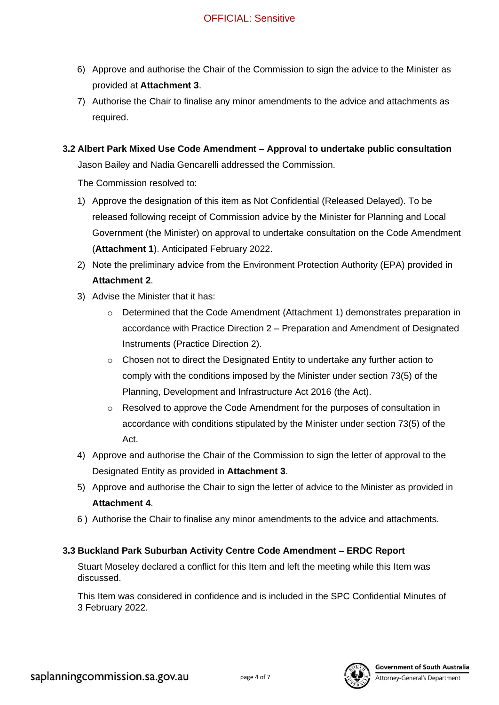- 6) Approve and authorise the Chair of the Commission to sign the advice to the Minister as provided at **Attachment 3**.
- 7) Authorise the Chair to finalise any minor amendments to the advice and attachments as required.
- **3.2 Albert Park Mixed Use Code Amendment – Approval to undertake public consultation**

Jason Bailey and Nadia Gencarelli addressed the Commission.

The Commission resolved to:

- 1) Approve the designation of this item as Not Confidential (Released Delayed). To be released following receipt of Commission advice by the Minister for Planning and Local Government (the Minister) on approval to undertake consultation on the Code Amendment (**Attachment 1**). Anticipated February 2022.
- 2) Note the preliminary advice from the Environment Protection Authority (EPA) provided in **Attachment 2**.
- 3) Advise the Minister that it has:
	- Determined that the Code Amendment (Attachment 1) demonstrates preparation in accordance with Practice Direction 2 – Preparation and Amendment of Designated Instruments (Practice Direction 2).
	- o Chosen not to direct the Designated Entity to undertake any further action to comply with the conditions imposed by the Minister under section 73(5) of the Planning, Development and Infrastructure Act 2016 (the Act).
	- $\circ$  Resolved to approve the Code Amendment for the purposes of consultation in accordance with conditions stipulated by the Minister under section 73(5) of the Act.
- 4) Approve and authorise the Chair of the Commission to sign the letter of approval to the Designated Entity as provided in **Attachment 3**.
- 5) Approve and authorise the Chair to sign the letter of advice to the Minister as provided in **Attachment 4**.
- 6 ) Authorise the Chair to finalise any minor amendments to the advice and attachments.

# **3.3 Buckland Park Suburban Activity Centre Code Amendment – ERDC Report**

Stuart Moseley declared a conflict for this Item and left the meeting while this Item was discussed.

This Item was considered in confidence and is included in the SPC Confidential Minutes of 3 February 2022.

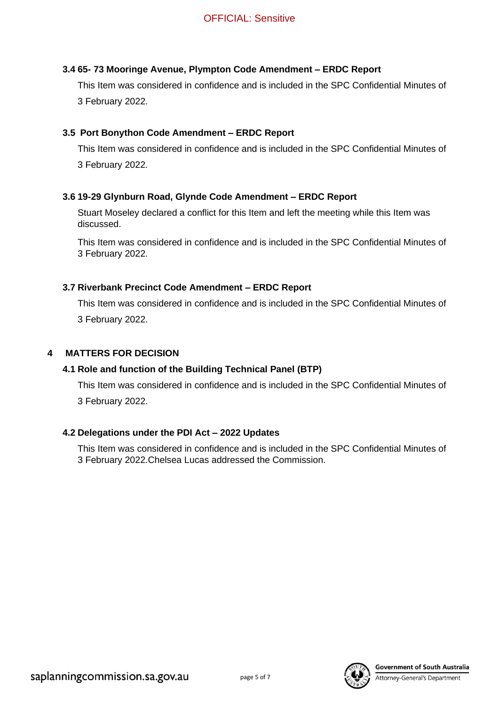# **3.4 65- 73 Mooringe Avenue, Plympton Code Amendment – ERDC Report**

This Item was considered in confidence and is included in the SPC Confidential Minutes of 3 February 2022.

#### **3.5 Port Bonython Code Amendment – ERDC Report**

This Item was considered in confidence and is included in the SPC Confidential Minutes of 3 February 2022.

# **3.6 19-29 Glynburn Road, Glynde Code Amendment – ERDC Report**

Stuart Moseley declared a conflict for this Item and left the meeting while this Item was discussed.

This Item was considered in confidence and is included in the SPC Confidential Minutes of 3 February 2022.

#### **3.7 Riverbank Precinct Code Amendment – ERDC Report**

This Item was considered in confidence and is included in the SPC Confidential Minutes of 3 February 2022.

#### **4 MATTERS FOR DECISION**

# **4.1 Role and function of the Building Technical Panel (BTP)**

This Item was considered in confidence and is included in the SPC Confidential Minutes of 3 February 2022.

#### **4.2 Delegations under the PDI Act – 2022 Updates**

This Item was considered in confidence and is included in the SPC Confidential Minutes of 3 February 2022.Chelsea Lucas addressed the Commission.

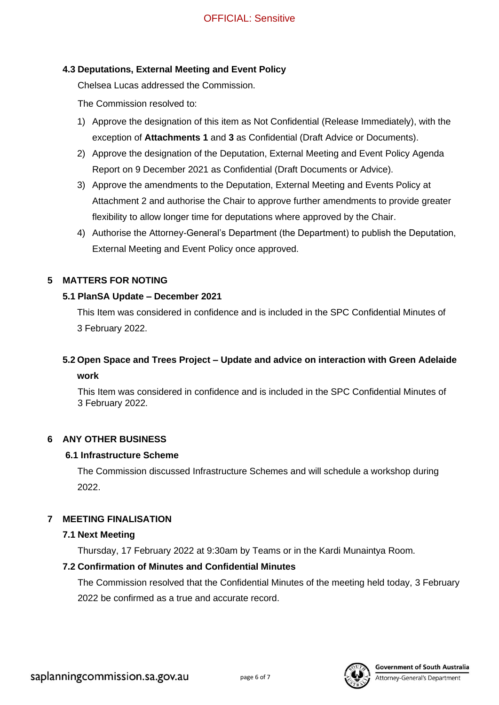# **4.3 Deputations, External Meeting and Event Policy**

Chelsea Lucas addressed the Commission.

The Commission resolved to:

- 1) Approve the designation of this item as Not Confidential (Release Immediately), with the exception of **Attachments 1** and **3** as Confidential (Draft Advice or Documents).
- 2) Approve the designation of the Deputation, External Meeting and Event Policy Agenda Report on 9 December 2021 as Confidential (Draft Documents or Advice).
- 3) Approve the amendments to the Deputation, External Meeting and Events Policy at Attachment 2 and authorise the Chair to approve further amendments to provide greater flexibility to allow longer time for deputations where approved by the Chair.
- 4) Authorise the Attorney-General's Department (the Department) to publish the Deputation, External Meeting and Event Policy once approved.

#### **5 MATTERS FOR NOTING**

#### **5.1 PlanSA Update – December 2021**

This Item was considered in confidence and is included in the SPC Confidential Minutes of 3 February 2022.

# **5.2 Open Space and Trees Project – Update and advice on interaction with Green Adelaide work**

This Item was considered in confidence and is included in the SPC Confidential Minutes of 3 February 2022.

# **6 ANY OTHER BUSINESS**

#### **6.1 Infrastructure Scheme**

The Commission discussed Infrastructure Schemes and will schedule a workshop during 2022.

# **7 MEETING FINALISATION**

# **7.1 Next Meeting**

Thursday, 17 February 2022 at 9:30am by Teams or in the Kardi Munaintya Room.

# **7.2 Confirmation of Minutes and Confidential Minutes**

The Commission resolved that the Confidential Minutes of the meeting held today, 3 February 2022 be confirmed as a true and accurate record.